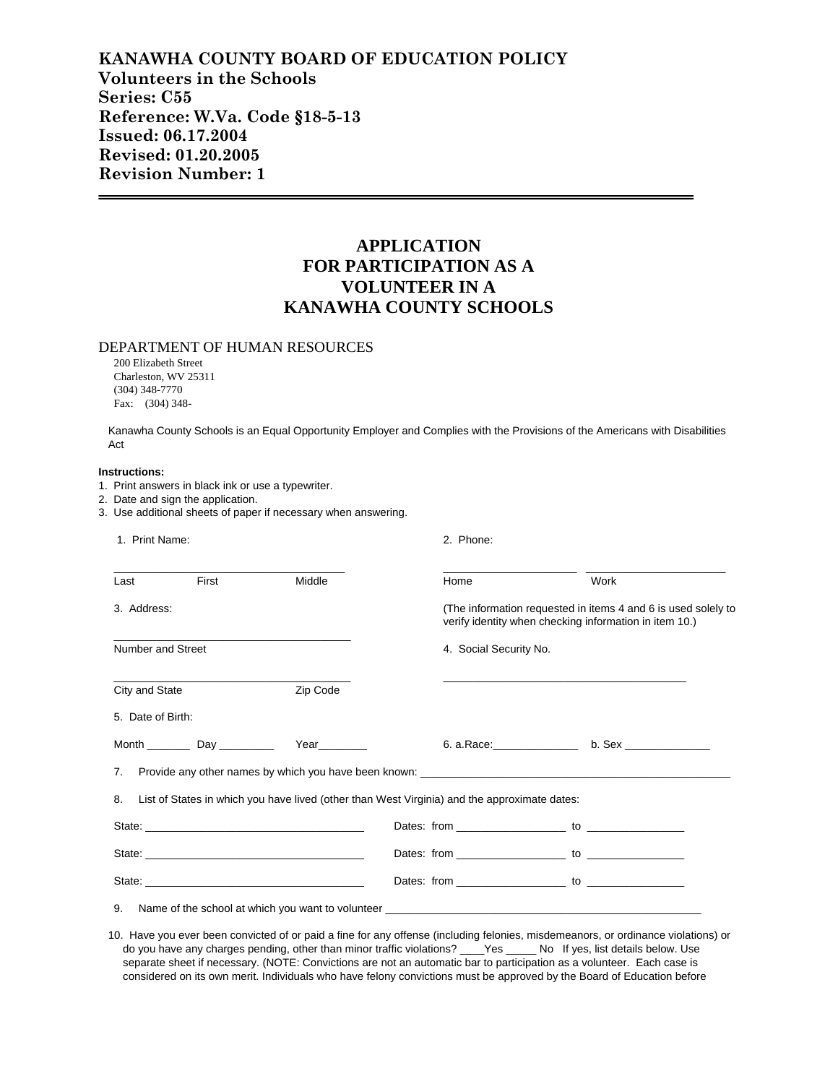## **KANAWHA COUNTY BOARD OF EDUCATION POLICY Volunteers in the Schools Series: C55 Reference: W.Va. Code §18-5-13 Issued: 06.17.2004 Revised: 01.20.2005 Revision Number: 1**

# **APPLICATION FOR PARTICIPATION AS A VOLUNTEER IN A KANAWHA COUNTY SCHOOLS**

### DEPARTMENT OF HUMAN RESOURCES

200 Elizabeth Street Charleston, WV 25311 (304) 348-7770 Fax: (304) 348-

Kanawha County Schools is an Equal Opportunity Employer and Complies with the Provisions of the Americans with Disabilities Act

#### **Instructions:**

- 1. Print answers in black ink or use a typewriter.
- 2. Date and sign the application.
- 3. Use additional sheets of paper if necessary when answering.

| 1. Print Name:    |                                            |          | 2. Phone:                                                                                    |                        |                                                                                                                         |  |
|-------------------|--------------------------------------------|----------|----------------------------------------------------------------------------------------------|------------------------|-------------------------------------------------------------------------------------------------------------------------|--|
| Last              | First                                      | Middle   | Home                                                                                         |                        | Work                                                                                                                    |  |
| 3. Address:       |                                            |          |                                                                                              |                        | (The information requested in items 4 and 6 is used solely to<br>verify identity when checking information in item 10.) |  |
| Number and Street |                                            |          |                                                                                              | 4. Social Security No. |                                                                                                                         |  |
| City and State    |                                            | Zip Code |                                                                                              |                        |                                                                                                                         |  |
| 5. Date of Birth: |                                            |          |                                                                                              |                        |                                                                                                                         |  |
|                   | Month _________________ Day ______________ | Year     |                                                                                              |                        | 6. a. Race: b. Sex                                                                                                      |  |
| 7.                |                                            |          |                                                                                              |                        | Provide any other names by which you have been known: ___________________________                                       |  |
| 8.                |                                            |          | List of States in which you have lived (other than West Virginia) and the approximate dates: |                        |                                                                                                                         |  |
|                   |                                            |          |                                                                                              |                        |                                                                                                                         |  |
|                   |                                            |          |                                                                                              |                        |                                                                                                                         |  |
|                   |                                            |          |                                                                                              |                        |                                                                                                                         |  |
| 9.                |                                            |          | Name of the school at which you want to volunteer                                            |                        |                                                                                                                         |  |

10. Have you ever been convicted of or paid a fine for any offense (including felonies, misdemeanors, or ordinance violations) or do you have any charges pending, other than minor traffic violations? \_\_\_\_Yes \_\_\_\_\_ No If yes, list details below. Use separate sheet if necessary. (NOTE: Convictions are not an automatic bar to participation as a volunteer. Each case is considered on its own merit. Individuals who have felony convictions must be approved by the Board of Education before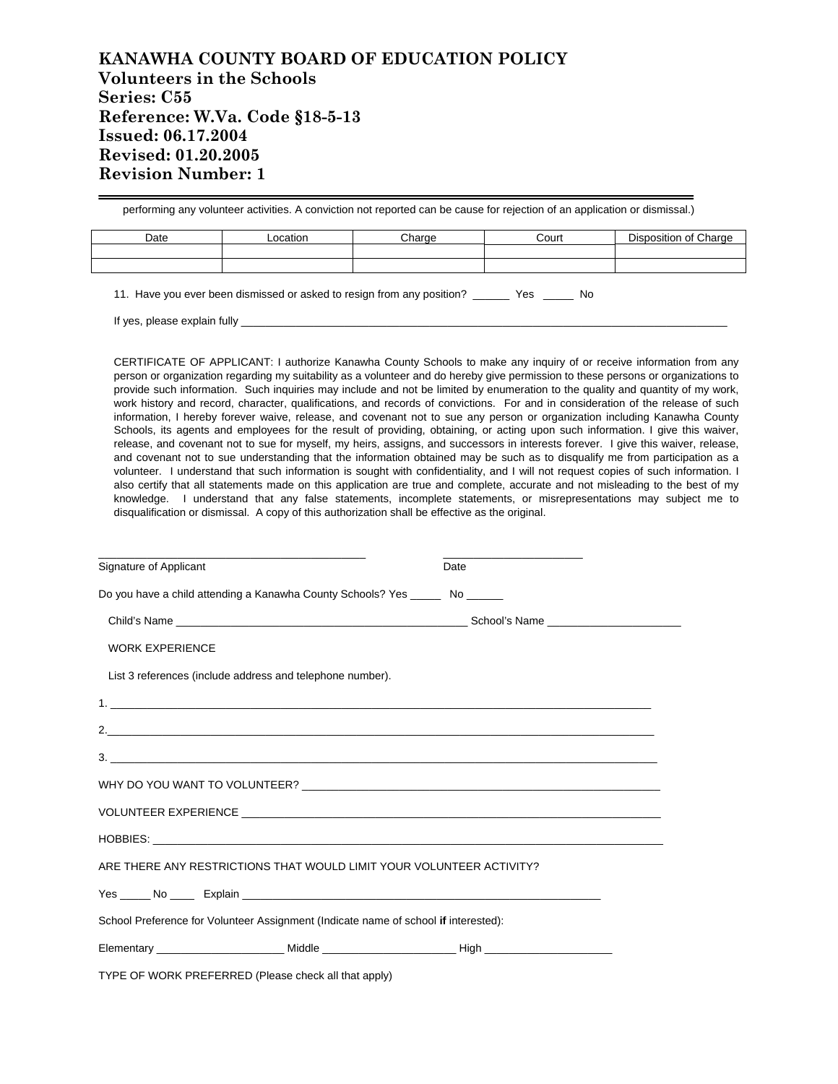## **KANAWHA COUNTY BOARD OF EDUCATION POLICY Volunteers in the Schools Series: C55 Reference: W.Va. Code §18-5-13 Issued: 06.17.2004 Revised: 01.20.2005 Revision Number: 1**

performing any volunteer activities. A conviction not reported can be cause for rejection of an application or dismissal.) Date **Location Charge Court** Disposition of Charge

11. Have you ever been dismissed or asked to resign from any position? \_\_\_\_\_\_ Yes \_\_\_\_\_ No

If yes, please explain fully

CERTIFICATE OF APPLICANT: I authorize Kanawha County Schools to make any inquiry of or receive information from any person or organization regarding my suitability as a volunteer and do hereby give permission to these persons or organizations to provide such information. Such inquiries may include and not be limited by enumeration to the quality and quantity of my work, work history and record, character, qualifications, and records of convictions. For and in consideration of the release of such information, I hereby forever waive, release, and covenant not to sue any person or organization including Kanawha County Schools, its agents and employees for the result of providing, obtaining, or acting upon such information. I give this waiver, release, and covenant not to sue for myself, my heirs, assigns, and successors in interests forever. I give this waiver, release, and covenant not to sue understanding that the information obtained may be such as to disqualify me from participation as a volunteer. I understand that such information is sought with confidentiality, and I will not request copies of such information. I also certify that all statements made on this application are true and complete, accurate and not misleading to the best of my knowledge. I understand that any false statements, incomplete statements, or misrepresentations may subject me to disqualification or dismissal. A copy of this authorization shall be effective as the original.

| Signature of Applicant                                                              | Date |  |  |  |  |  |  |
|-------------------------------------------------------------------------------------|------|--|--|--|--|--|--|
| Do you have a child attending a Kanawha County Schools? Yes ________ No _______     |      |  |  |  |  |  |  |
|                                                                                     |      |  |  |  |  |  |  |
| <b>WORK EXPERIENCE</b>                                                              |      |  |  |  |  |  |  |
| List 3 references (include address and telephone number).                           |      |  |  |  |  |  |  |
|                                                                                     |      |  |  |  |  |  |  |
|                                                                                     |      |  |  |  |  |  |  |
|                                                                                     |      |  |  |  |  |  |  |
|                                                                                     |      |  |  |  |  |  |  |
|                                                                                     |      |  |  |  |  |  |  |
|                                                                                     |      |  |  |  |  |  |  |
| ARE THERE ANY RESTRICTIONS THAT WOULD LIMIT YOUR VOLUNTEER ACTIVITY?                |      |  |  |  |  |  |  |
|                                                                                     |      |  |  |  |  |  |  |
| School Preference for Volunteer Assignment (Indicate name of school if interested): |      |  |  |  |  |  |  |
|                                                                                     |      |  |  |  |  |  |  |

TYPE OF WORK PREFERRED (Please check all that apply)